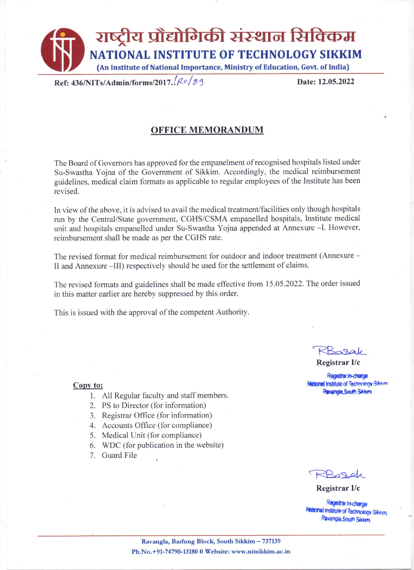

Ref: 436/NITs/Admin/forms/2017. Ro/89

Date: 12.05.2022

## **OFFICE MEMORANDUM**

The Board of Governors has approved for the empanelment of recognised hospitals listed under Su-Swastha Yojna of the Government of Sikkim. Accordingly, the medical reimbursement guidelines, medical claim formats as applicable to regular employees of the Institute has been revised.

In view of the above, it is advised to avail the medical treatment/facilities only though hospitals run by the Central/State government, CGHS/CSMA empanelled hospitals, Institute medical unit and hospitals empanelled under Su-Swastha Yojna appended at Annexure -I. However, reimbursement shall be made as per the CGHS rate.

The revised format for medical reimbursement for outdoor and indoor treatment (Annexure -II and Annexure –III) respectively should be used for the settlement of claims.

The revised formats and guidelines shall be made effective from 15.05.2022. The order issued in this matter earlier are hereby suppressed by this order.

This is issued with the approval of the competent Authority.

#### Copy to:

- 1. All Regular faculty and staff members.
- 2. PS to Director (for information)
- 3. Registrar Office (for information)
- 4. Accounts Office (for compliance)
- 5. Medical Unit (for compliance)
- 6. WDC (for publication in the website)
- 7. Guard File

Registrar I/c

Registrar in-charge National Institute of Technology Sikkim Ravangia, South Sikkim

 $A = 26$ 

Registrar I/c

Registrar In-charge **National institute of Technology Sikkim** Ravangla, South Sikkim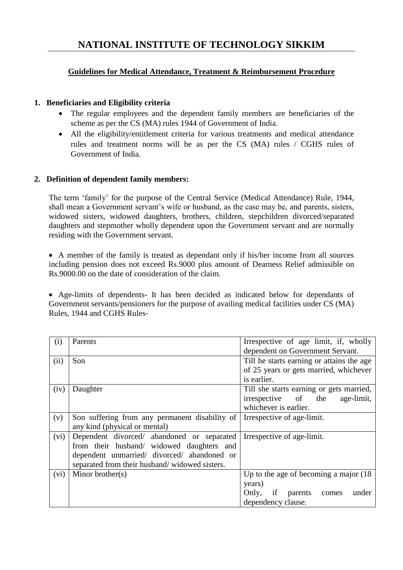# **Guidelines for Medical Attendance, Treatment & Reimbursement Procedure**

## **1. Beneficiaries and Eligibility criteria**

- The regular employees and the dependent family members are beneficiaries of the scheme as per the CS (MA) rules 1944 of Government of India.
- All the eligibility/entitlement criteria for various treatments and medical attendance rules and treatment norms will be as per the CS (MA) rules / CGHS rules of Government of India.

## **2. Definition of dependent family members:**

The term 'family' for the purpose of the Central Service (Medical Attendance) Rule, 1944, shall mean a Government servant's wife or husband, as the case may be, and parents, sisters, widowed sisters, widowed daughters, brothers, children, stepchildren divorced/separated daughters and stepmother wholly dependent upon the Government servant and are normally residing with the Government servant.

 A member of the family is treated as dependant only if his/her income from all sources including pension does not exceed Rs.9000 plus amount of Dearness Relief admissible on Rs.9000.00 on the date of consideration of the claim.

 Age-limits of dependents- It has been decided as indicated below for dependants of Government servants/pensioners for the purpose of availing medical facilities under CS (MA) Rules, 1944 and CGHS Rules-

| (i)  | Parents                                        | Irrespective of age limit, if, wholly     |
|------|------------------------------------------------|-------------------------------------------|
|      |                                                | dependent on Government Servant.          |
| (ii) | Son                                            | Till he starts earning or attains the age |
|      |                                                | of 25 years or gets married, whichever    |
|      |                                                | is earlier.                               |
| (iv) | Daughter                                       | Till she starts earning or gets married,  |
|      |                                                | irrespective of the<br>age-limit,         |
|      |                                                | whichever is earlier.                     |
| (v)  | Son suffering from any permanent disability of | Irrespective of age-limit.                |
|      | any kind (physical or mental)                  |                                           |
| (vi) | Dependent divorced/ abandoned or separated     | Irrespective of age-limit.                |
|      | from their husband/ widowed daughters and      |                                           |
|      | dependent unmarried/ divorced/ abandoned or    |                                           |
|      | separated from their husband/widowed sisters.  |                                           |
| (vi) | Minor brother( $s$ )                           | Up to the age of becoming a major $(18)$  |
|      |                                                | years)                                    |
|      |                                                | Only, if parents<br>under<br>comes        |
|      |                                                | dependency clause.                        |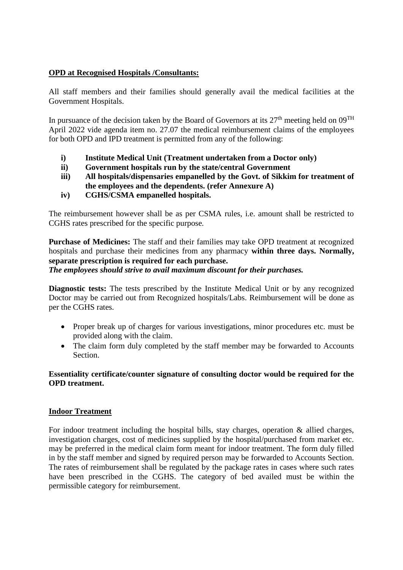#### **OPD at Recognised Hospitals /Consultants:**

All staff members and their families should generally avail the medical facilities at the Government Hospitals.

In pursuance of the decision taken by the Board of Governors at its  $27<sup>th</sup>$  meeting held on  $09<sup>TH</sup>$ April 2022 vide agenda item no. 27.07 the medical reimbursement claims of the employees for both OPD and IPD treatment is permitted from any of the following:

- **i) Institute Medical Unit (Treatment undertaken from a Doctor only)**
- **ii) Government hospitals run by the state/central Government**
- **iii) All hospitals/dispensaries empanelled by the Govt. of Sikkim for treatment of the employees and the dependents. (refer Annexure A)**
- **iv) CGHS/CSMA empanelled hospitals.**

The reimbursement however shall be as per CSMA rules, i.e. amount shall be restricted to CGHS rates prescribed for the specific purpose*.*

**Purchase of Medicines:** The staff and their families may take OPD treatment at recognized hospitals and purchase their medicines from any pharmacy **within three days. Normally, separate prescription is required for each purchase.** *The employees should strive to avail maximum discount for their purchases.*

**Diagnostic tests:** The tests prescribed by the Institute Medical Unit or by any recognized Doctor may be carried out from Recognized hospitals/Labs. Reimbursement will be done as per the CGHS rates.

- Proper break up of charges for various investigations, minor procedures etc. must be provided along with the claim.
- The claim form duly completed by the staff member may be forwarded to Accounts Section.

## **Essentiality certificate/counter signature of consulting doctor would be required for the OPD treatment.**

## **Indoor Treatment**

For indoor treatment including the hospital bills, stay charges, operation  $\&$  allied charges, investigation charges, cost of medicines supplied by the hospital/purchased from market etc. may be preferred in the medical claim form meant for indoor treatment. The form duly filled in by the staff member and signed by required person may be forwarded to Accounts Section. The rates of reimbursement shall be regulated by the package rates in cases where such rates have been prescribed in the CGHS. The category of bed availed must be within the permissible category for reimbursement.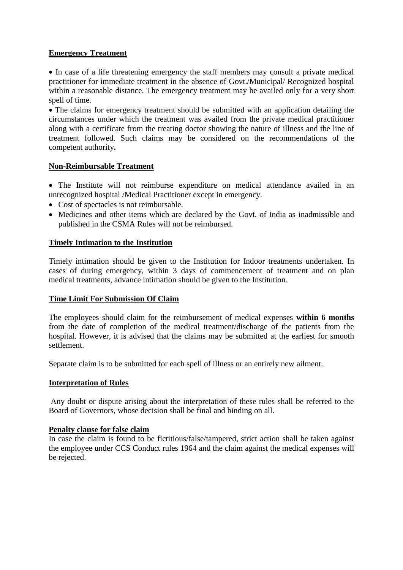## **Emergency Treatment**

 In case of a life threatening emergency the staff members may consult a private medical practitioner for immediate treatment in the absence of Govt./Municipal/ Recognized hospital within a reasonable distance. The emergency treatment may be availed only for a very short spell of time.

• The claims for emergency treatment should be submitted with an application detailing the circumstances under which the treatment was availed from the private medical practitioner along with a certificate from the treating doctor showing the nature of illness and the line of treatment followed. Such claims may be considered on the recommendations of the competent authority**.**

## **Non-Reimbursable Treatment**

 The Institute will not reimburse expenditure on medical attendance availed in an unrecognized hospital /Medical Practitioner except in emergency.

- Cost of spectacles is not reimbursable.
- Medicines and other items which are declared by the Govt. of India as inadmissible and published in the CSMA Rules will not be reimbursed.

## **Timely Intimation to the Institution**

Timely intimation should be given to the Institution for Indoor treatments undertaken. In cases of during emergency, within 3 days of commencement of treatment and on plan medical treatments, advance intimation should be given to the Institution.

## **Time Limit For Submission Of Claim**

The employees should claim for the reimbursement of medical expenses **within 6 months** from the date of completion of the medical treatment/discharge of the patients from the hospital. However, it is advised that the claims may be submitted at the earliest for smooth settlement.

Separate claim is to be submitted for each spell of illness or an entirely new ailment.

## **Interpretation of Rules**

Any doubt or dispute arising about the interpretation of these rules shall be referred to the Board of Governors, whose decision shall be final and binding on all.

## **Penalty clause for false claim**

In case the claim is found to be fictitious/false/tampered, strict action shall be taken against the employee under CCS Conduct rules 1964 and the claim against the medical expenses will be rejected.